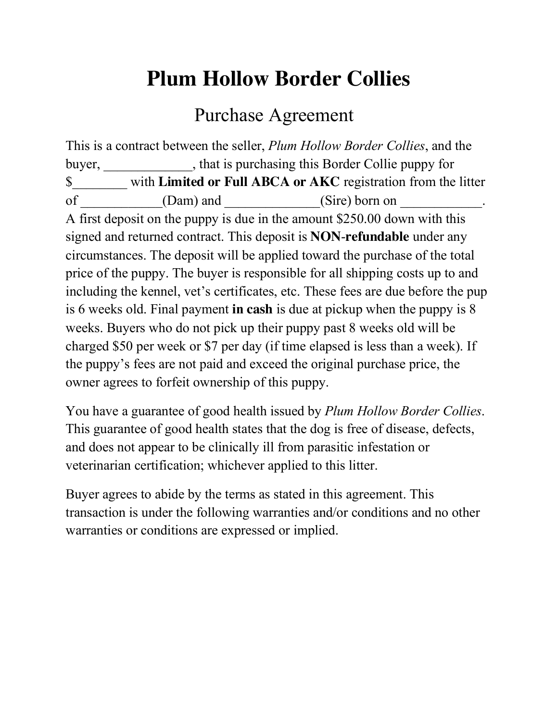## **Plum Hollow Border Collies**

## Purchase Agreement

This is a contract between the seller, *Plum Hollow Border Collies*, and the buyer, \_\_\_\_\_\_\_\_\_\_\_, that is purchasing this Border Collie puppy for \$\_\_\_\_\_\_\_\_ with **Limited or Full ABCA or AKC** registration from the litter of (Dam) and (Sire) born on A first deposit on the puppy is due in the amount \$250.00 down with this signed and returned contract. This deposit is **NON**-**refundable** under any circumstances. The deposit will be applied toward the purchase of the total price of the puppy. The buyer is responsible for all shipping costs up to and including the kennel, vet's certificates, etc. These fees are due before the pup is 6 weeks old. Final payment **in cash** is due at pickup when the puppy is 8 weeks. Buyers who do not pick up their puppy past 8 weeks old will be charged \$50 per week or \$7 per day (if time elapsed is less than a week). If the puppy's fees are not paid and exceed the original purchase price, the owner agrees to forfeit ownership of this puppy.

You have a guarantee of good health issued by *Plum Hollow Border Collies*. This guarantee of good health states that the dog is free of disease, defects, and does not appear to be clinically ill from parasitic infestation or veterinarian certification; whichever applied to this litter.

Buyer agrees to abide by the terms as stated in this agreement. This transaction is under the following warranties and/or conditions and no other warranties or conditions are expressed or implied.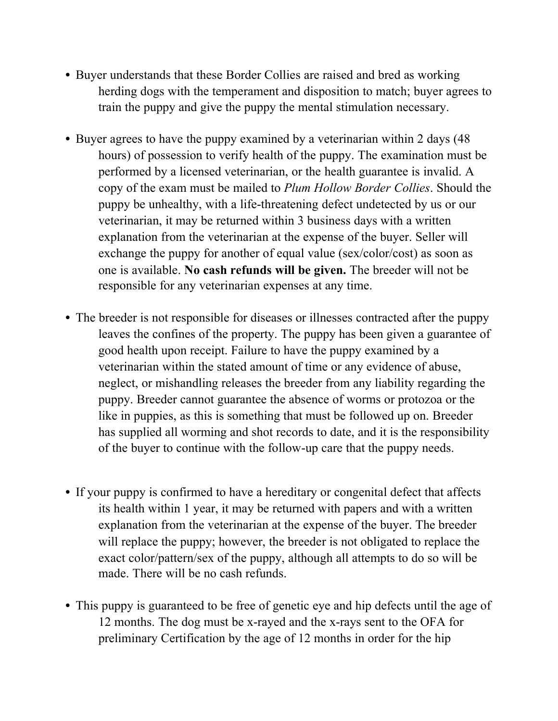- Buyer understands that these Border Collies are raised and bred as working herding dogs with the temperament and disposition to match; buyer agrees to train the puppy and give the puppy the mental stimulation necessary.
- Buyer agrees to have the puppy examined by a veterinarian within 2 days (48 hours) of possession to verify health of the puppy. The examination must be performed by a licensed veterinarian, or the health guarantee is invalid. A copy of the exam must be mailed to *Plum Hollow Border Collies*. Should the puppy be unhealthy, with a life-threatening defect undetected by us or our veterinarian, it may be returned within 3 business days with a written explanation from the veterinarian at the expense of the buyer. Seller will exchange the puppy for another of equal value (sex/color/cost) as soon as one is available. **No cash refunds will be given.** The breeder will not be responsible for any veterinarian expenses at any time.
- The breeder is not responsible for diseases or illnesses contracted after the puppy leaves the confines of the property. The puppy has been given a guarantee of good health upon receipt. Failure to have the puppy examined by a veterinarian within the stated amount of time or any evidence of abuse, neglect, or mishandling releases the breeder from any liability regarding the puppy. Breeder cannot guarantee the absence of worms or protozoa or the like in puppies, as this is something that must be followed up on. Breeder has supplied all worming and shot records to date, and it is the responsibility of the buyer to continue with the follow-up care that the puppy needs.
- If your puppy is confirmed to have a hereditary or congenital defect that affects its health within 1 year, it may be returned with papers and with a written explanation from the veterinarian at the expense of the buyer. The breeder will replace the puppy; however, the breeder is not obligated to replace the exact color/pattern/sex of the puppy, although all attempts to do so will be made. There will be no cash refunds.
- This puppy is guaranteed to be free of genetic eye and hip defects until the age of 12 months. The dog must be x-rayed and the x-rays sent to the OFA for preliminary Certification by the age of 12 months in order for the hip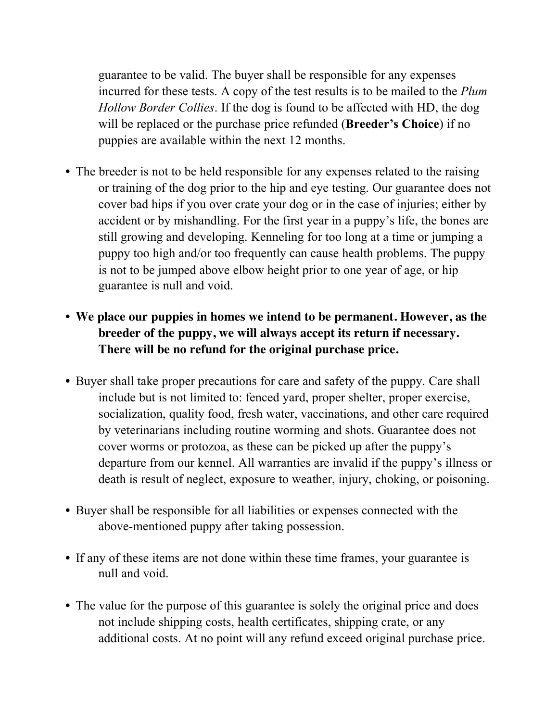guarantee to be valid. The buyer shall be responsible for any expenses incurred for these tests. A copy of the test results is to be mailed to the *Plum Hollow Border Collies*. If the dog is found to be affected with HD, the dog will be replaced or the purchase price refunded (**Breeder's Choice**) if no puppies are available within the next 12 months.

- The breeder is not to be held responsible for any expenses related to the raising or training of the dog prior to the hip and eye testing. Our guarantee does not cover bad hips if you over crate your dog or in the case of injuries; either by accident or by mishandling. For the first year in a puppy's life, the bones are still growing and developing. Kenneling for too long at a time or jumping a puppy too high and/or too frequently can cause health problems. The puppy is not to be jumped above elbow height prior to one year of age, or hip guarantee is null and void.
- **We place our puppies in homes we intend to be permanent. However, as the breeder of the puppy, we will always accept its return if necessary. There will be no refund for the original purchase price.**
- Buyer shall take proper precautions for care and safety of the puppy. Care shall include but is not limited to: fenced yard, proper shelter, proper exercise, socialization, quality food, fresh water, vaccinations, and other care required by veterinarians including routine worming and shots. Guarantee does not cover worms or protozoa, as these can be picked up after the puppy's departure from our kennel. All warranties are invalid if the puppy's illness or death is result of neglect, exposure to weather, injury, choking, or poisoning.
- Buyer shall be responsible for all liabilities or expenses connected with the above-mentioned puppy after taking possession.
- If any of these items are not done within these time frames, your guarantee is null and void.
- The value for the purpose of this guarantee is solely the original price and does not include shipping costs, health certificates, shipping crate, or any additional costs. At no point will any refund exceed original purchase price.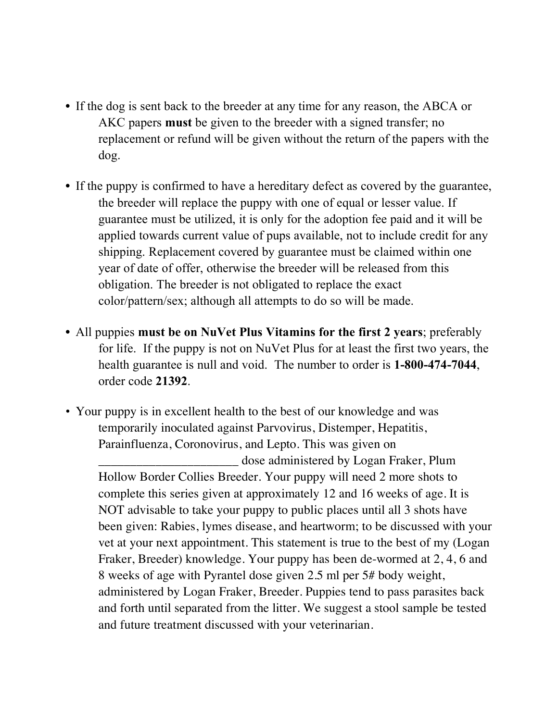- If the dog is sent back to the breeder at any time for any reason, the ABCA or AKC papers **must** be given to the breeder with a signed transfer; no replacement or refund will be given without the return of the papers with the dog.
- If the puppy is confirmed to have a hereditary defect as covered by the guarantee, the breeder will replace the puppy with one of equal or lesser value. If guarantee must be utilized, it is only for the adoption fee paid and it will be applied towards current value of pups available, not to include credit for any shipping. Replacement covered by guarantee must be claimed within one year of date of offer, otherwise the breeder will be released from this obligation. The breeder is not obligated to replace the exact color/pattern/sex; although all attempts to do so will be made.
- All puppies **must be on NuVet Plus Vitamins for the first 2 years**; preferably for life. If the puppy is not on NuVet Plus for at least the first two years, the health guarantee is null and void. The number to order is **1-800-474-7044**, order code **21392**.
- Your puppy is in excellent health to the best of our knowledge and was temporarily inoculated against Parvovirus, Distemper, Hepatitis, Parainfluenza, Coronovirus, and Lepto. This was given on \_\_\_\_\_\_\_\_\_\_\_\_\_\_\_\_\_\_\_\_\_\_ dose administered by Logan Fraker, Plum Hollow Border Collies Breeder. Your puppy will need 2 more shots to complete this series given at approximately 12 and 16 weeks of age. It is NOT advisable to take your puppy to public places until all 3 shots have been given: Rabies, lymes disease, and heartworm; to be discussed with your vet at your next appointment. This statement is true to the best of my (Logan Fraker, Breeder) knowledge. Your puppy has been de-wormed at 2, 4, 6 and 8 weeks of age with Pyrantel dose given 2.5 ml per 5# body weight, administered by Logan Fraker, Breeder. Puppies tend to pass parasites back and forth until separated from the litter. We suggest a stool sample be tested and future treatment discussed with your veterinarian.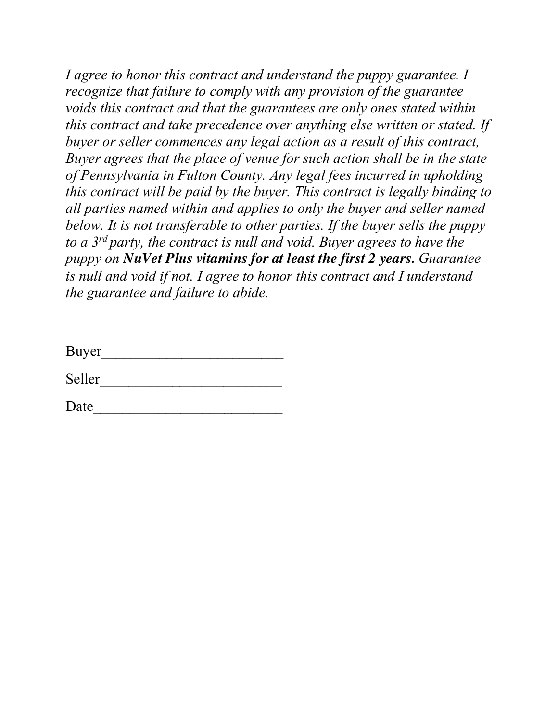*I agree to honor this contract and understand the puppy guarantee. I recognize that failure to comply with any provision of the guarantee voids this contract and that the guarantees are only ones stated within this contract and take precedence over anything else written or stated. If buyer or seller commences any legal action as a result of this contract, Buyer agrees that the place of venue for such action shall be in the state of Pennsylvania in Fulton County. Any legal fees incurred in upholding this contract will be paid by the buyer. This contract is legally binding to all parties named within and applies to only the buyer and seller named below. It is not transferable to other parties. If the buyer sells the puppy to a 3rd party, the contract is null and void. Buyer agrees to have the puppy on NuVet Plus vitamins for at least the first 2 years. Guarantee is null and void if not. I agree to honor this contract and I understand the guarantee and failure to abide.* 

| <b>Buyer</b> |  |  |  |
|--------------|--|--|--|
|              |  |  |  |